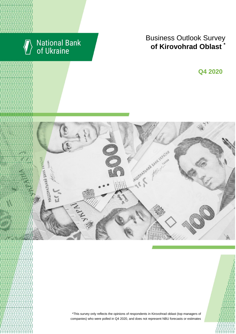

# National Bank<br>of Ukraine

# Business Outlook Survey **of Kirovohrad Oblast**

I квартал 2018 року **Q4 2020**





\*This survey only reflects the opinions of respondents in Kirovohrad oblast (top managers of companies) who were polled in Q4 2020, and does not represent NBU forecasts or estimates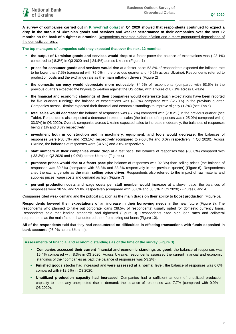**A survey of companies carried out in Kirovohrad oblast in Q4 2020 showed that respondents continued to expect a drop in the output of Ukrainian goods and services and weaker performance of their companies over the next 12 months on the back of a tighter quarantine.** Respondents expected higher inflation and a more pronounced depreciation of the domestic currency**.**

**The top managers of companies said they expected that over the next 12 months:**

- **the output of Ukrainian goods and services would drop** at a faster pace**:** the balance of expectations was (-23.1%) compared to (-8.3%) in Q3 2020 and (-24.4%) across Ukraine (Figure 1)
- **prices for consumer goods and services would rise** at a faster pace: 53.8% of respondents expected the inflation rate to be lower than 7.5% (compared with 75.0% in the previous quarter and 49.2% across Ukraine). Respondents referred to production costs and the exchange rate as **the main inflation drivers** (Figure 2)
- **the domestic currency would depreciate more noticeably**: 84.6% of respondents (compared with 63.6% in the previous quarter) expected the hryvnia to weaken against the US dollar, with a figure of 87.1% across Ukraine
- **the financial and economic standings of their companies would deteriorate** (such expectations have been reported for five quarters running)**:** the balance of expectations was (-8.3%) compared with (-25.0%) in the previous quarter. Companies across Ukraine expected their financial and economic standings to improve slightly (1.3%) (see Table)
- **total sales would decrease:** the balance of responses was (-7.7%) compared with (-18.2%) in the previous quarter (see Table). Respondents also expected a decrease in external sales (the balance of responses was (-25.0%) compared with (- 33.3%) in Q3 2020). Overall, companies across Ukraine expected sales to increase moderately, the balances of responses being 7.1% and 3.8% respectively
- **investment both in construction and in machinery, equipment, and tools would decrease:** the balances of responses were (-30.8%) and (-23.1%) respectively (compared to (-50.0%) and 0.0% respectively in Q3 2020). Across Ukraine, the balances of responses were (-4.5%) and 3.8% respectively
- **staff numbers at their companies would drop** at a fast pace: the balance of responses was (-30.8%) compared with (-33.3%) in Q3 2020 and (-9.9%) across Ukraine (Figure 4)
- **purchase prices would rise at a faster pace** (the balance of responses was 92.3%) than selling prices (the balance of responses was 30.8%) (compared with 83.3% and 33.3% respectively in the previous quarter) (Figure 6). Respondents cited the exchange rate as **the main selling price driver**. Respondents also referred to the impact of raw material and supplies prices, wage costs and demand as high (Figure 7)
- **per-unit production costs and wage costs per staff member would increase** at a slower pace: the balances of responses were 38.5% and 53.8% respectively (compared with 50.0% and 58.3% in Q3 2020) (Figures 6 and 4).

Companies cited weak demand and the political situation as **the main drags on their ability to boost production** (Figure 5).

**Respondents lowered their expectations of an increase in their borrowing needs** in the near future (Figure 8). The respondents who planned to take out corporate loans (38.5% of respondents) usually opted for domestic currency loans. Respondents said that lending standards had tightened (Figure 9). Respondents cited high loan rates and collateral requirements as the main factors that deterred them from taking out loans (Figure 10).

**All of the respondents** said that they **had encountered no difficulties in effecting transactions with funds deposited in bank accounts** (96.9% across Ukraine).

**Assessments of financial and economic standings as of the time of the survey** (Figure 3)

- **Companies assessed their current financial and economic standings as good:** the balance of responses was 15.4% compared with 8.3% in Q3 2020. Across Ukraine, respondents assessed the current financial and economic standings of their companies as bad: the balance of responses was (-3.2%).
- **Finished goods stocks** had increased and **were assessed at a normal level:** the balance of responses was 0.0% compared with (-12.5%) in Q3 2020.
- **Unutilized production capacity had increased.** Companies had a sufficient amount of unutilized production capacity to meet any unexpected rise in demand: the balance of responses was 7.7% (compared with 0.0% in Q3 2020).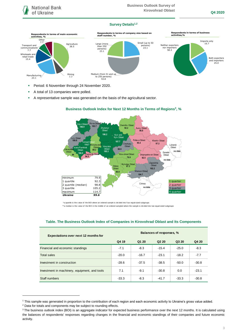

### **Survey Details1,2**



- **Period: 6 November through 24 November 2020.**
- A total of 13 companies were polled.
- A representative sample was generated on the basis of the agricultural sector.



### **Business Outlook Index for Next 12 Months in Terms of Regions<sup>3</sup> , %**

\*a quartile is the v alue of the BOI where an ordered sample is div ided into f our equal-sized subgroups

\*\*a median is the v alue of the BOI in the middle of an ordered sampled where the sample is div ided into two equal-sized subgroups

| Expectations over next 12 months for          | Balances of responses, % |         |                               |         |         |
|-----------------------------------------------|--------------------------|---------|-------------------------------|---------|---------|
|                                               | Q4 19                    | Q1 20   | Q <sub>2</sub> 2 <sub>0</sub> | Q3 20   | Q4 20   |
| Financial and economic standings              | $-7.1$                   | $-8.3$  | $-15.4$                       | $-25.0$ | $-8.3$  |
| <b>Total sales</b>                            | $-20.0$                  | $-16.7$ | $-23.1$                       | $-18.2$ | $-7.7$  |
| Investment in construction                    | $-28.6$                  | $-37.5$ | $-38.5$                       | $-50.0$ | $-30.8$ |
| Investment in machinery, equipment, and tools | 7.1                      | $-9.1$  | $-30.8$                       | 0.0     | $-23.1$ |
| Staff numbers                                 | $-33.3$                  | $-8.3$  | $-41.7$                       | $-33.3$ | $-30.8$ |

### **Table. The Business Outlook Index of Companies in Kirovohrad Oblast and Its Components**

1

<sup>1</sup> This sample was generated in proportion to the contribution of each region and each economic activity to Ukraine's gross value added.

<sup>2</sup> Data for totals and components may be subject to rounding effects.

<sup>&</sup>lt;sup>3</sup> The business outlook index (BOI) is an aggregate indicator for expected business performance over the next 12 months. It is calculated using the balances of respondents' responses regarding changes in the financial and economic standings of their companies and future economic activity.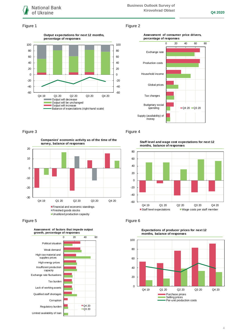

### Figure 1 Figure 2



### **Assessment of consumer price drivers, percentage of responses**



**Companies' economic activity as of the time of the survey, balance of responses**



Figure 5 **Figure 6** Figure 6



### Figure 3 Figure 4

**Staff level and wage cost expectations for next 12 months, balance of responses**





**Expectations of producer prices for next 12 months, balance of responses**